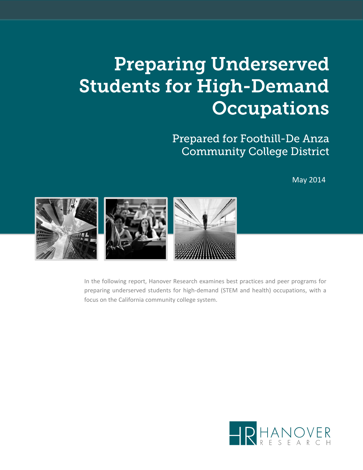# **Preparing Underserved Students for High-Demand Occupations**

Prepared for Foothill-De Anza **Community College District** 

May 2014



In the following report, Hanover Research examines best practices and peer programs for preparing underserved students for high-demand (STEM and health) occupations, with a focus on the California community college system.

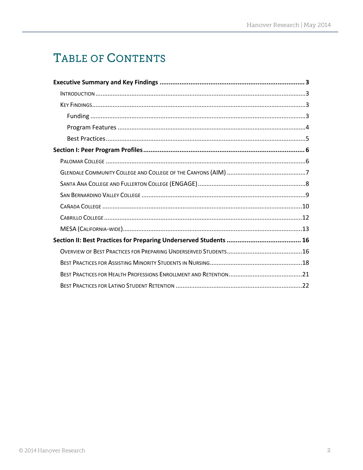# TABLE OF CONTENTS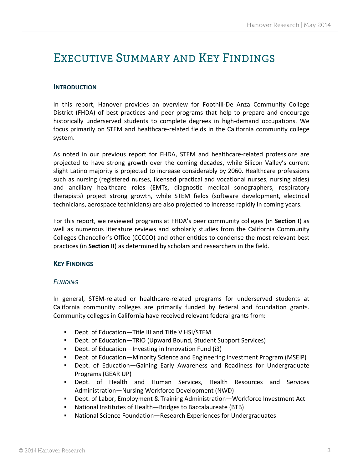# <span id="page-2-0"></span>EXECUTIVE SUMMARY AND KEY FINDINGS

### <span id="page-2-1"></span>**INTRODUCTION**

In this report, Hanover provides an overview for Foothill-De Anza Community College District (FHDA) of best practices and peer programs that help to prepare and encourage historically underserved students to complete degrees in high-demand occupations. We focus primarily on STEM and healthcare-related fields in the California community college system.

As noted in our previous report for FHDA, STEM and healthcare-related professions are projected to have strong growth over the coming decades, while Silicon Valley's current slight Latino majority is projected to increase considerably by 2060. Healthcare professions such as nursing (registered nurses, licensed practical and vocational nurses, nursing aides) and ancillary healthcare roles (EMTs, diagnostic medical sonographers, respiratory therapists) project strong growth, while STEM fields (software development, electrical technicians, aerospace technicians) are also projected to increase rapidly in coming years.

For this report, we reviewed programs at FHDA's peer community colleges (in **Section I**) as well as numerous literature reviews and scholarly studies from the California Community Colleges Chancellor's Office (CCCCO) and other entities to condense the most relevant best practices (in **Section II**) as determined by scholars and researchers in the field.

### <span id="page-2-2"></span>**KEY FINDINGS**

#### <span id="page-2-3"></span>*FUNDING*

In general, STEM-related or healthcare-related programs for underserved students at California community colleges are primarily funded by federal and foundation grants. Community colleges in California have received relevant federal grants from:

- Dept. of Education—Title III and Title V HSI/STEM
- Dept. of Education—TRIO (Upward Bound, Student Support Services)
- Dept. of Education—Investing in Innovation Fund (i3)
- Dept. of Education—Minority Science and Engineering Investment Program (MSEIP)
- Dept. of Education—Gaining Early Awareness and Readiness for Undergraduate Programs (GEAR UP)
- Dept. of Health and Human Services, Health Resources and Services Administration—Nursing Workforce Development (NWD)
- Dept. of Labor, Employment & Training Administration—Workforce Investment Act
- National Institutes of Health—Bridges to Baccalaureate (BTB)
- National Science Foundation—Research Experiences for Undergraduates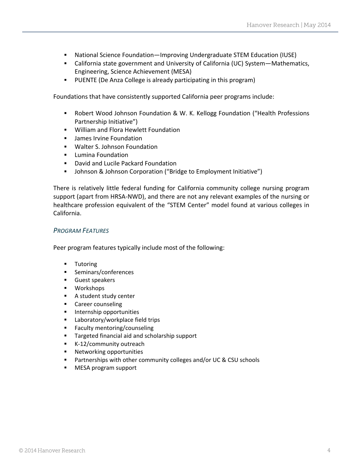- National Science Foundation—Improving Undergraduate STEM Education (IUSE)
- California state government and University of California (UC) System—Mathematics, Engineering, Science Achievement (MESA)
- PUENTE (De Anza College is already participating in this program)

Foundations that have consistently supported California peer programs include:

- Robert Wood Johnson Foundation & W. K. Kellogg Foundation ("Health Professions Partnership Initiative")
- William and Flora Hewlett Foundation
- **James Irvine Foundation**
- **Walter S. Johnson Foundation**
- **E** Lumina Foundation
- **David and Lucile Packard Foundation**
- Johnson & Johnson Corporation ("Bridge to Employment Initiative")

There is relatively little federal funding for California community college nursing program support (apart from HRSA-NWD), and there are not any relevant examples of the nursing or healthcare profession equivalent of the "STEM Center" model found at various colleges in California.

#### <span id="page-3-0"></span>*PROGRAM FEATURES*

Peer program features typically include most of the following:

- **Tutoring**
- **Seminars/conferences**
- **Guest speakers**
- **Workshops**
- A student study center
- **Career counseling**
- **Internship opportunities**
- **EXECUTE:** Laboratory/workplace field trips
- **Faculty mentoring/counseling**
- **Targeted financial aid and scholarship support**
- K-12/community outreach
- **Networking opportunities**
- **Partnerships with other community colleges and/or UC & CSU schools**
- **MESA program support**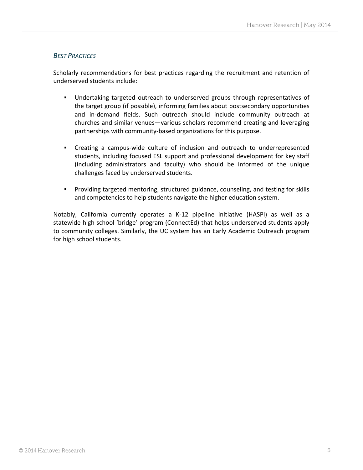### <span id="page-4-0"></span>*BEST PRACTICES*

Scholarly recommendations for best practices regarding the recruitment and retention of underserved students include:

- Undertaking targeted outreach to underserved groups through representatives of the target group (if possible), informing families about postsecondary opportunities and in-demand fields. Such outreach should include community outreach at churches and similar venues—various scholars recommend creating and leveraging partnerships with community-based organizations for this purpose.
- Creating a campus-wide culture of inclusion and outreach to underrepresented students, including focused ESL support and professional development for key staff (including administrators and faculty) who should be informed of the unique challenges faced by underserved students.
- Providing targeted mentoring, structured guidance, counseling, and testing for skills and competencies to help students navigate the higher education system.

Notably, California currently operates a K-12 pipeline initiative (HASPI) as well as a statewide high school 'bridge' program (ConnectEd) that helps underserved students apply to community colleges. Similarly, the UC system has an Early Academic Outreach program for high school students.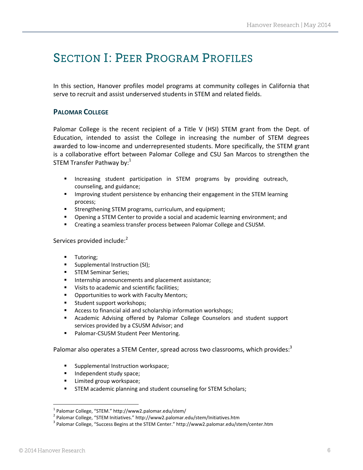# <span id="page-5-0"></span>**SECTION I: PEER PROGRAM PROFILES**

In this section, Hanover profiles model programs at community colleges in California that serve to recruit and assist underserved students in STEM and related fields.

### <span id="page-5-1"></span>**PALOMAR COLLEGE**

Palomar College is the recent recipient of a Title V (HSI) STEM grant from the Dept. of Education, intended to assist the College in increasing the number of STEM degrees awarded to low-income and underrepresented students. More specifically, the STEM grant is a collaborative effort between Palomar College and CSU San Marcos to strengthen the STEM Transfer Pathway by: $1$ 

- **Increasing student participation in STEM programs by providing outreach,** counseling, and guidance;
- **IMPROVING 19 IMPROVING 12 IMPROVIDENT** Improving their engagement in the STEM learning process;
- **Strengthening STEM programs, curriculum, and equipment;**
- Opening a STEM Center to provide a social and academic learning environment; and
- **EXP** Creating a seamless transfer process between Palomar College and CSUSM.

#### Services provided include:<sup>2</sup>

- **Tutoring;**
- **Supplemental Instruction (SI);**
- **STEM Seminar Series;**
- Internship announcements and placement assistance;
- **Visits to academic and scientific facilities;**
- **Opportunities to work with Faculty Mentors;**
- **Student support workshops;**
- Access to financial aid and scholarship information workshops;
- Academic Advising offered by Palomar College Counselors and student support services provided by a CSUSM Advisor; and
- **Palomar-CSUSM Student Peer Mentoring.**

Palomar also operates a STEM Center, spread across two classrooms, which provides:<sup>3</sup>

- Supplemental Instruction workspace;
- Independent study space;
- **EXECUTE:** Limited group workspace;
- STEM academic planning and student counseling for STEM Scholars;

 $\overline{a}$ 

<sup>&</sup>lt;sup>1</sup> Palomar College, "STEM." http://www2.palomar.edu/stem/

<sup>&</sup>lt;sup>2</sup> Palomar College, "STEM Initiatives." http://www2.palomar.edu/stem/Initiatives.htm

<sup>&</sup>lt;sup>3</sup> Palomar College, "Success Begins at the STEM Center." http://www2.palomar.edu/stem/center.htm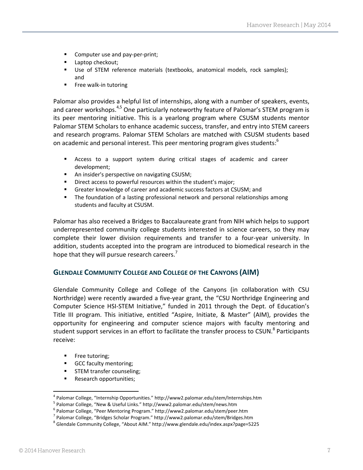- Computer use and pay-per-print;
- **Laptop checkout;**
- Use of STEM reference materials (textbooks, anatomical models, rock samples); and
- **Free walk-in tutoring**

Palomar also provides a helpful list of internships, along with a number of speakers, events, and career workshops.<sup>4,5</sup> One particularly noteworthy feature of Palomar's STEM program is its peer mentoring initiative. This is a yearlong program where CSUSM students mentor Palomar STEM Scholars to enhance academic success, transfer, and entry into STEM careers and research programs. Palomar STEM Scholars are matched with CSUSM students based on academic and personal interest. This peer mentoring program gives students:<sup>6</sup>

- Access to a support system during critical stages of academic and career development;
- An insider's perspective on navigating CSUSM;
- **Direct access to powerful resources within the student's major;**
- Greater knowledge of career and academic success factors at CSUSM; and
- The foundation of a lasting professional network and personal relationships among students and faculty at CSUSM.

Palomar has also received a Bridges to Baccalaureate grant from NIH which helps to support underrepresented community college students interested in science careers, so they may complete their lower division requirements and transfer to a four-year university. In addition, students accepted into the program are introduced to biomedical research in the hope that they will pursue research careers.<sup>7</sup>

#### <span id="page-6-0"></span>**GLENDALE COMMUNITY COLLEGE AND COLLEGE OF THE CANYONS (AIM)**

Glendale Community College and College of the Canyons (in collaboration with CSU Northridge) were recently awarded a five-year grant, the "CSU Northridge Engineering and Computer Science HSI-STEM Initiative," funded in 2011 through the Dept. of Education's Title III program. This initiative, entitled "Aspire, Initiate, & Master" (AIM), provides the opportunity for engineering and computer science majors with faculty mentoring and student support services in an effort to facilitate the transfer process to CSUN.<sup>8</sup> Participants receive:

- **Free tutoring;**
- GCC faculty mentoring;
- **STEM transfer counseling;**
- **Research opportunities;**

l

<sup>&</sup>lt;sup>4</sup> Palomar College, "Internship Opportunities." http://www2.palomar.edu/stem/Internships.htm

<sup>&</sup>lt;sup>5</sup> Palomar College, "New & Useful Links." http://www2.palomar.edu/stem/news.htm

<sup>&</sup>lt;sup>6</sup> Palomar College, "Peer Mentoring Program." http://www2.palomar.edu/stem/peer.htm

<sup>&</sup>lt;sup>7</sup> Palomar College, "Bridges Scholar Program." http://www2.palomar.edu/stem/Bridges.htm

<sup>8</sup> Glendale Community College, "About AIM." http://www.glendale.edu/index.aspx?page=5225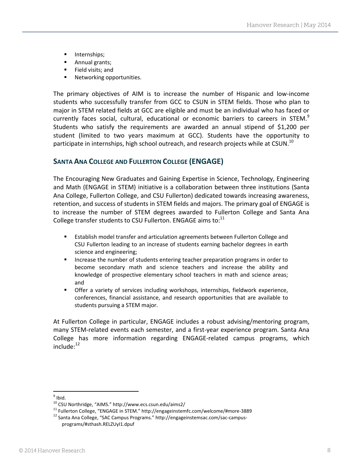- **Internships;**
- **Annual grants;**
- **Field visits; and**
- **Networking opportunities.**

The primary objectives of AIM is to increase the number of Hispanic and low-income students who successfully transfer from GCC to CSUN in STEM fields. Those who plan to major in STEM related fields at GCC are eligible and must be an individual who has faced or currently faces social, cultural, educational or economic barriers to careers in STEM. $^{9}$ Students who satisfy the requirements are awarded an annual stipend of \$1,200 per student (limited to two years maximum at GCC). Students have the opportunity to participate in internships, high school outreach, and research projects while at CSUN. $^{10}$ 

# <span id="page-7-0"></span>**SANTA ANA COLLEGE AND FULLERTON COLLEGE (ENGAGE)**

The Encouraging New Graduates and Gaining Expertise in Science, Technology, Engineering and Math (ENGAGE in STEM) initiative is a collaboration between three institutions (Santa Ana College, Fullerton College, and CSU Fullerton) dedicated towards increasing awareness, retention, and success of students in STEM fields and majors. The primary goal of ENGAGE is to increase the number of STEM degrees awarded to Fullerton College and Santa Ana College transfer students to CSU Fullerton. ENGAGE aims to: $^{11}$ 

- Establish model transfer and articulation agreements between Fullerton College and CSU Fullerton leading to an increase of students earning bachelor degrees in earth science and engineering;
- Increase the number of students entering teacher preparation programs in order to become secondary math and science teachers and increase the ability and knowledge of prospective elementary school teachers in math and science areas; and
- Offer a variety of services including workshops, internships, fieldwork experience, conferences, financial assistance, and research opportunities that are available to students pursuing a STEM major.

At Fullerton College in particular, ENGAGE includes a robust advising/mentoring program, many STEM-related events each semester, and a first-year experience program. Santa Ana College has more information regarding ENGAGE-related campus programs, which  $include:$ <sup>12</sup>

<sup>&</sup>lt;sup>9</sup> Ibid.

<sup>10</sup> CSU Northridge, "AIMS." http://www.ecs.csun.edu/aims2/

<sup>11</sup> Fullerton College, "ENGAGE in STEM." http://engageinstemfc.com/welcome/#more-3889

<sup>&</sup>lt;sup>12</sup> Santa Ana College, "SAC Campus Programs." [http://engageinstemsac.com/sac-campus](http://engageinstemsac.com/sac-campus-programs/#sthash.RELZUyI1.dpuf)[programs/#sthash.RELZUyI1.dpuf](http://engageinstemsac.com/sac-campus-programs/#sthash.RELZUyI1.dpuf)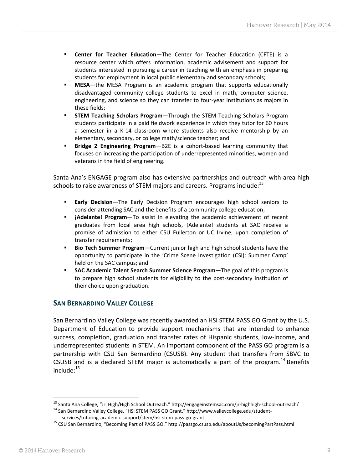- **Center for Teacher Education**—The Center for Teacher Education (CFTE) is a resource center which offers information, academic advisement and support for students interested in pursuing a career in teaching with an emphasis in preparing students for employment in local public elementary and secondary schools;
- **MESA**—the MESA Program is an academic program that supports educationally disadvantaged community college students to excel in math, computer science, engineering, and science so they can transfer to four-year institutions as majors in these fields;
- **STEM Teaching Scholars Program**—Through the STEM Teaching Scholars Program students participate in a paid fieldwork experience in which they tutor for 60 hours a semester in a K-14 classroom where students also receive mentorship by an elementary, secondary, or college math/science teacher; and
- **Bridge 2 Engineering Program**—B2E is a cohort-based learning community that focuses on increasing the participation of underrepresented minorities, women and veterans in the field of engineering.

Santa Ana's ENGAGE program also has extensive partnerships and outreach with area high schools to raise awareness of STEM majors and careers. Programs include:<sup>13</sup>

- **Early Decision**—The Early Decision Program encourages high school seniors to consider attending SAC and the benefits of a community college education;
- **¡Adelante! Program**—To assist in elevating the academic achievement of recent graduates from local area high schools, ¡Adelante! students at SAC receive a promise of admission to either CSU Fullerton or UC Irvine, upon completion of transfer requirements;
- **Bio Tech Summer Program**—Current junior high and high school students have the opportunity to participate in the 'Crime Scene Investigation (CSI): Summer Camp' held on the SAC campus; and
- **SAC Academic Talent Search Summer Science Program**—The goal of this program is to prepare high school students for eligibility to the post-secondary institution of their choice upon graduation.

# <span id="page-8-0"></span>**SAN BERNARDINO VALLEY COLLEGE**

San Bernardino Valley College was recently awarded an HSI STEM PASS GO Grant by the U.S. Department of Education to provide support mechanisms that are intended to enhance success, completion, graduation and transfer rates of Hispanic students, low-income, and underrepresented students in STEM. An important component of the PASS GO program is a partnership with CSU San Bernardino (CSUSB). Any student that transfers from SBVC to CSUSB and is a declared STEM major is automatically a part of the program.<sup>14</sup> Benefits include: $15$ 

1

<sup>13</sup> Santa Ana College, "Jr. High/High School Outreach." http://engageinstemsac.com/jr-highhigh-school-outreach/

<sup>&</sup>lt;sup>14</sup> San Bernardino Valley College, "HSI STEM PASS GO Grant." http://www.valleycollege.edu/studentservices/tutoring-academic-support/stem/hsi-stem-pass-go-grant

<sup>15</sup> CSU San Bernardino, "Becoming Part of PASS GO." http://passgo.csusb.edu/aboutUs/becomingPartPass.html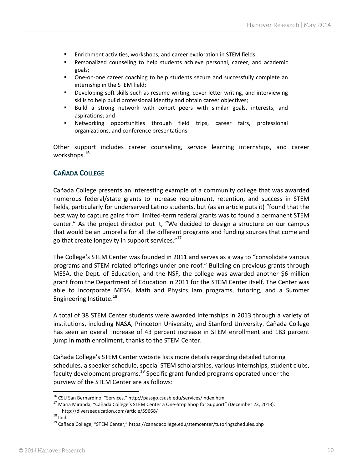- Enrichment activities, workshops, and career exploration in STEM fields;
- Personalized counseling to help students achieve personal, career, and academic goals;
- **•** One-on-one career coaching to help students secure and successfully complete an internship in the STEM field;
- **•** Developing soft skills such as resume writing, cover letter writing, and interviewing skills to help build professional identity and obtain career objectives;
- Build a strong network with cohort peers with similar goals, interests, and aspirations; and
- Networking opportunities through field trips, career fairs, professional organizations, and conference presentations.

Other support includes career counseling, service learning internships, and career workshops. $^{16}$ 

# <span id="page-9-0"></span>**CAÑADA COLLEGE**

Cañada College presents an interesting example of a community college that was awarded numerous federal/state grants to increase recruitment, retention, and success in STEM fields, particularly for underserved Latino students, but (as an article puts it) "found that the best way to capture gains from limited-term federal grants was to found a permanent STEM center." As the project director put it, "We decided to design a structure on our campus that would be an umbrella for all the different programs and funding sources that come and go that create longevity in support services."<sup>17</sup>

The College's STEM Center was founded in 2011 and serves as a way to "consolidate various programs and STEM-related offerings under one roof." Building on previous grants through MESA, the Dept. of Education, and the NSF, the college was awarded another \$6 million grant from the Department of Education in 2011 for the STEM Center itself. The Center was able to incorporate MESA, Math and Physics Jam programs, tutoring, and a Summer Engineering Institute.<sup>18</sup>

A total of 38 STEM Center students were awarded internships in 2013 through a variety of institutions, including NASA, Princeton University, and Stanford University. Cañada College has seen an overall increase of 43 percent increase in STEM enrollment and 183 percent jump in math enrollment, thanks to the STEM Center.

Cañada College's STEM Center website lists more details regarding detailed tutoring schedules, a speaker schedule, special STEM scholarships, various internships, student clubs, faculty development programs.<sup>19</sup> Specific grant-funded programs operated under the purview of the STEM Center are as follows:

l <sup>16</sup> CSU San Bernardino, "Services." http://passgo.csusb.edu/services/index.html

<sup>&</sup>lt;sup>17</sup> Maria Miranda, "Cañada College's STEM Center a One-Stop Shop for Support" (December 23, 2013). <http://diverseeducation.com/article/59668/>

 $18$  Ibid.

<sup>19</sup> Cañada College, "STEM Center," https://canadacollege.edu/stemcenter/tutoringschedules.php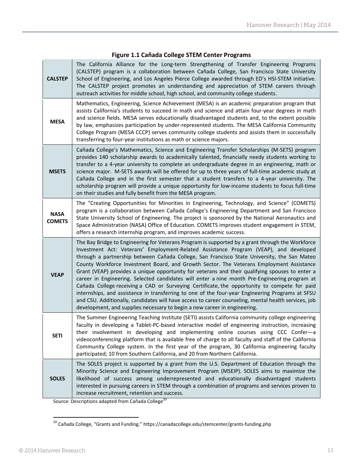| <b>CALSTEP</b>               | The California Alliance for the Long-term Strengthening of Transfer Engineering Programs<br>(CALSTEP) program is a collaboration between Cañada College, San Francisco State University<br>School of Engineering, and Los Angeles Pierce College awarded through ED's HSI-STEM initiative.<br>The CALSTEP project promotes an understanding and appreciation of STEM careers through<br>outreach activities for middle school, high school, and community college students.                                                                                                                                                                                                                                                                                                                                                                                                                                                                                                       |
|------------------------------|-----------------------------------------------------------------------------------------------------------------------------------------------------------------------------------------------------------------------------------------------------------------------------------------------------------------------------------------------------------------------------------------------------------------------------------------------------------------------------------------------------------------------------------------------------------------------------------------------------------------------------------------------------------------------------------------------------------------------------------------------------------------------------------------------------------------------------------------------------------------------------------------------------------------------------------------------------------------------------------|
| <b>MESA</b>                  | Mathematics, Engineering, Science Achievement (MESA) is an academic preparation program that<br>assists California's students to succeed in math and science and attain four-year degrees in math<br>and science fields. MESA serves educationally disadvantaged students and, to the extent possible<br>by law, emphasizes participation by under-represented students. The MESA California Community<br>College Program (MESA CCCP) serves community college students and assists them in successfully<br>transferring to four-year institutions as math or science majors.                                                                                                                                                                                                                                                                                                                                                                                                     |
| <b>MSETS</b>                 | Cañada College's Mathematics, Science and Engineering Transfer Scholarships (M-SETS) program<br>provides 140 scholarship awards to academically talented, financially needy students working to<br>transfer to a 4-year university to complete an undergraduate degree in an engineering, math or<br>science major. M-SETS awards will be offered for up to three years of full-time academic study at<br>Cañada College and in the first semester that a student transfers to a 4-year university. The<br>scholarship program will provide a unique opportunity for low-income students to focus full-time<br>on their studies and fully benefit from the MESA program.                                                                                                                                                                                                                                                                                                          |
| <b>NASA</b><br><b>COMETS</b> | The "Creating Opportunities for Minorities in Engineering, Technology, and Science" (COMETS)<br>program is a collaboration between Cañada College's Engineering Department and San Francisco<br>State University School of Engineering. The project is sponsored by the National Aeronautics and<br>Space Administration (NASA) Office of Education. COMETS improves student engagement in STEM,<br>offers a research internship program, and improves academic success.                                                                                                                                                                                                                                                                                                                                                                                                                                                                                                          |
| <b>VEAP</b>                  | The Bay Bridge to Engineering for Veterans Program is supported by a grant through the Workforce<br>Investment Act: Veterans' Employment-Related Assistance Program (VEAP), and developed<br>through a partnership between Cañada College, San Francisco State University, the San Mateo<br>County Workforce Investment Board, and Growth Sector. The Veterans Employment Assistance<br>Grant (VEAP) provides a unique opportunity for veterans and their qualifying spouses to enter a<br>career in Engineering. Selected candidates will enter a nine month Pre-Engineering program at<br>Cañada College receiving a CAD or Surveying Certificate, the opportunity to compete for paid<br>internships, and assistance in transferring to one of the four-year Engineering Programs at SFSU<br>and CSU. Additionally, candidates will have access to career counseling, mental health services, job<br>development, and supplies necessary to begin a new career in engineering. |
| <b>SETI</b>                  | The Summer Engineering Teaching Institute (SETI) assists California community college engineering<br>faculty in developing a Tablet-PC-based interactive model of engineering instruction, increasing<br>their involvement in developing and implementing online courses using CCC Confer-a<br>videoconferencing platform that is available free of charge to all faculty and staff of the California<br>Community College system. In the first year of the program, 30 California engineering faculty<br>participated; 10 from Southern California, and 20 from Northern California.                                                                                                                                                                                                                                                                                                                                                                                             |
| <b>SOLES</b>                 | The SOLES project is supported by a grant from the U.S. Department of Education through the<br>Minority Science and Engineering Improvement Program (MSEIP). SOLES aims to maximize the<br>likelihood of success among underrepresented and educationally disadvantaged students<br>interested in pursuing careers in STEM through a combination of programs and services proven to<br>increase recruitment, retention and success.                                                                                                                                                                                                                                                                                                                                                                                                                                                                                                                                               |

# **Figure 1.1 Cañada College STEM Center Programs**

Source: Descriptions adapted from Cañada College<sup>20</sup>

1

<sup>&</sup>lt;sup>20</sup> Cañada College, "Grants and Funding." <https://canadacollege.edu/stemcenter/grants-funding.php>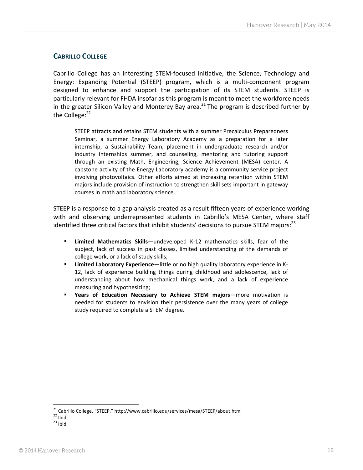# <span id="page-11-0"></span>**CABRILLO COLLEGE**

Cabrillo College has an interesting STEM-focused initiative, the Science, Technology and Energy: Expanding Potential (STEEP) program, which is a multi-component program designed to enhance and support the participation of its STEM students. STEEP is particularly relevant for FHDA insofar as this program is meant to meet the workforce needs in the greater Silicon Valley and Monterey Bay area.<sup>21</sup> The program is described further by the College:<sup>22</sup>

STEEP attracts and retains STEM students with a summer Precalculus Preparedness Seminar, a summer Energy Laboratory Academy as a preparation for a later internship, a Sustainability Team, placement in undergraduate research and/or industry internships summer, and counseling, mentoring and tutoring support through an existing Math, Engineering, Science Achievement (MESA) center. A capstone activity of the Energy Laboratory academy is a community service project involving photovoltaics. Other efforts aimed at increasing retention within STEM majors include provision of instruction to strengthen skill sets important in gateway courses in math and laboratory science.

STEEP is a response to a gap analysis created as a result fifteen years of experience working with and observing underrepresented students in Cabrillo's MESA Center, where staff identified three critical factors that inhibit students' decisions to pursue STEM majors: $^{23}$ 

- **Limited Mathematics Skills**—undeveloped K-12 mathematics skills, fear of the subject, lack of success in past classes, limited understanding of the demands of college work, or a lack of study skills;
- **Limited Laboratory Experience**—little or no high quality laboratory experience in K-12, lack of experience building things during childhood and adolescence, lack of understanding about how mechanical things work, and a lack of experience measuring and hypothesizing;
- **Years of Education Necessary to Achieve STEM majors**—more motivation is needed for students to envision their persistence over the many years of college study required to complete a STEM degree.

 $\overline{a}$ 

<sup>&</sup>lt;sup>21</sup> Cabrillo College, "STEEP." <http://www.cabrillo.edu/services/mesa/STEEP/about.html>

 $22$  Ibid.

 $23$  Ibid.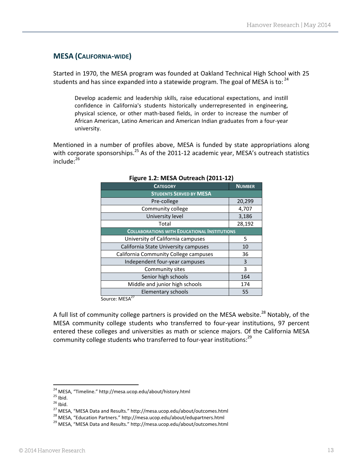# <span id="page-12-0"></span>**MESA (CALIFORNIA-WIDE)**

Started in 1970, the MESA program was founded at Oakland Technical High School with 25 students and has since expanded into a statewide program. The goal of MESA is to:  $^{24}$ 

Develop academic and leadership skills, raise educational expectations, and instill confidence in California's students historically underrepresented in engineering, physical science, or other math-based fields, in order to increase the number of African American, Latino American and American Indian graduates from a four-year university.

Mentioned in a number of profiles above, MESA is funded by state appropriations along with corporate sponsorships.<sup>25</sup> As of the 2011-12 academic year, MESA's outreach statistics include:<sup>26</sup>

| <b>CATEGORY</b>                                     | <b>NUMBER</b> |  |
|-----------------------------------------------------|---------------|--|
| <b>STUDENTS SERVED BY MESA</b>                      |               |  |
| Pre-college                                         | 20,299        |  |
| Community college                                   | 4,707         |  |
| University level                                    | 3,186         |  |
| Total                                               | 28,192        |  |
| <b>COLLABORATIONS WITH EDUCATIONAL INSTITUTIONS</b> |               |  |
| University of California campuses                   | 5             |  |
| California State University campuses                | 10            |  |
| California Community College campuses               | 36            |  |
| Independent four-year campuses                      | 3             |  |
| Community sites                                     | 3             |  |
| Senior high schools                                 | 164           |  |
| Middle and junior high schools                      | 174           |  |
| Elementary schools                                  | 55            |  |

#### **Figure 1.2: MESA Outreach (2011-12)**

Source: MESA<sup>27</sup>

A full list of community college partners is provided on the MESA website.<sup>28</sup> Notably, of the MESA community college students who transferred to four-year institutions, 97 percent entered these colleges and universities as math or science majors. Of the California MESA community college students who transferred to four-year institutions:<sup>29</sup>

 $\overline{a}$ 

<sup>&</sup>lt;sup>24</sup> MESA, "Timeline." <http://mesa.ucop.edu/about/history.html>

 $25$  Ibid.

 $26$  Ibid.

<sup>27</sup> MESA, "MESA Data and Results." http://mesa.ucop.edu/about/outcomes.html

<sup>&</sup>lt;sup>28</sup> MESA, "Education Partners." http://mesa.ucop.edu/about/edupartners.html

<sup>&</sup>lt;sup>29</sup> MESA, "MESA Data and Results." http://mesa.ucop.edu/about/outcomes.html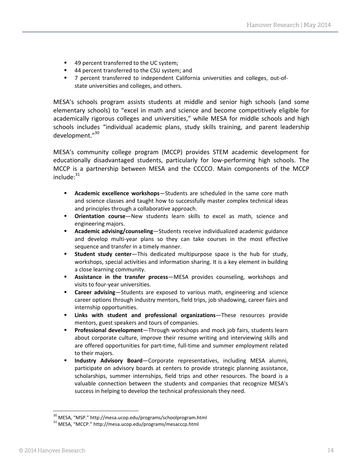- 49 percent transferred to the UC system;
- 44 percent transferred to the CSU system; and
- 7 percent transferred to independent California universities and colleges, out-ofstate universities and colleges, and others.

MESA's schools program assists students at middle and senior high schools (and some elementary schools) to "excel in math and science and become competitively eligible for academically rigorous colleges and universities," while MESA for middle schools and high schools includes "individual academic plans, study skills training, and parent leadership development." 30

MESA's community college program (MCCP) provides STEM academic development for educationally disadvantaged students, particularly for low-performing high schools. The MCCP is a partnership between MESA and the CCCCO. Main components of the MCCP  $include; ^{31}$ 

- **Academic excellence workshops**—Students are scheduled in the same core math and science classes and taught how to successfully master complex technical ideas and principles through a collaborative approach.
- **Orientation course**—New students learn skills to excel as math, science and engineering majors.
- **Academic advising/counseling**—Students receive individualized academic guidance and develop multi-year plans so they can take courses in the most effective sequence and transfer in a timely manner.
- **Student study center**—This dedicated multipurpose space is the hub for study, workshops, special activities and information sharing. It is a key element in building a close learning community.
- **Assistance in the transfer process**—MESA provides counseling, workshops and visits to four-year universities.
- **Career advising**—Students are exposed to various math, engineering and science career options through industry mentors, field trips, job shadowing, career fairs and internship opportunities.
- **Links with student and professional organizations**—These resources provide mentors, guest speakers and tours of companies.
- **Professional development**—Through workshops and mock job fairs, students learn about corporate culture, improve their resume writing and interviewing skills and are offered opportunities for part-time, full-time and summer employment related to their majors.
- **Industry Advisory Board**—Corporate representatives, including MESA alumni, participate on advisory boards at centers to provide strategic planning assistance, scholarships, summer internships, field trips and other resources. The board is a valuable connection between the students and companies that recognize MESA's success in helping to develop the technical professionals they need.

l

<sup>30</sup> MESA, "MSP." <http://mesa.ucop.edu/programs/schoolprogram.html>

<sup>31</sup> MESA, "MCCP." http://mesa.ucop.edu/programs/mesacccp.html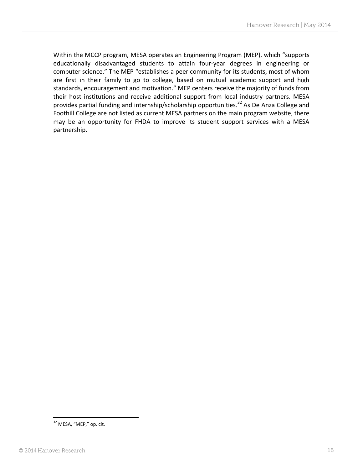Within the MCCP program, MESA operates an Engineering Program (MEP), which "supports educationally disadvantaged students to attain four-year degrees in engineering or computer science." The MEP "establishes a peer community for its students, most of whom are first in their family to go to college, based on mutual academic support and high standards, encouragement and motivation." MEP centers receive the majority of funds from their host institutions and receive additional support from local industry partners. MESA provides partial funding and internship/scholarship opportunities.<sup>32</sup> As De Anza College and Foothill College are not listed as current MESA partners on the main program website, there may be an opportunity for FHDA to improve its student support services with a MESA partnership.

<sup>1</sup> <sup>32</sup> MESA, "MEP," op. cit.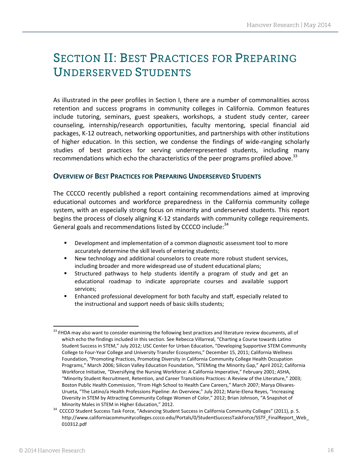# <span id="page-15-0"></span>**SECTION II: BEST PRACTICES FOR PREPARING UNDERSERVED STUDENTS**

As illustrated in the peer profiles in Section I, there are a number of commonalities across retention and success programs in community colleges in California. Common features include tutoring, seminars, guest speakers, workshops, a student study center, career counseling, internship/research opportunities, faculty mentoring, special financial aid packages, K-12 outreach, networking opportunities, and partnerships with other institutions of higher education. In this section, we condense the findings of wide-ranging scholarly studies of best practices for serving underrepresented students, including many recommendations which echo the characteristics of the peer programs profiled above.<sup>33</sup>

#### <span id="page-15-1"></span>**OVERVIEW OF BEST PRACTICES FOR PREPARING UNDERSERVED STUDENTS**

The CCCCO recently published a report containing recommendations aimed at improving educational outcomes and workforce preparedness in the California community college system, with an especially strong focus on minority and underserved students. This report begins the process of closely aligning K-12 standards with community college requirements. General goals and recommendations listed by CCCCO include:<sup>34</sup>

- Development and implementation of a common diagnostic assessment tool to more accurately determine the skill levels of entering students;
- New technology and additional counselors to create more robust student services, including broader and more widespread use of student educational plans;
- Structured pathways to help students identify a program of study and get an educational roadmap to indicate appropriate courses and available support services;
- Enhanced professional development for both faculty and staff, especially related to the instructional and support needs of basic skills students;

l <sup>33</sup> FHDA may also want to consider examining the following best practices and literature review documents, all of which echo the findings included in this section. See Rebecca Villarreal, ["Charting a Course towards Latino](http://www.hacu.net/images/hacu/OPAI/H3ERC/2012_papers/Villarreal%20cabrera%20friedrich%20-%20latino%20student%20success%20in%20stem%20-%20updated%202012.pdf)  [Student Success in STEM,"](http://www.hacu.net/images/hacu/OPAI/H3ERC/2012_papers/Villarreal%20cabrera%20friedrich%20-%20latino%20student%20success%20in%20stem%20-%20updated%202012.pdf) July 2012; USC Center for Urban Education, ["Developing Supportive STEM Community](http://nas-sites.org/communitycollegessummit/files/2011/12/Dowd-Developing-STEM-Transfer-Ecosystem_draft-dec-8.pdf)  College to Four-[Year College and University Transfer Ecosystems,"](http://nas-sites.org/communitycollegessummit/files/2011/12/Dowd-Developing-STEM-Transfer-Ecosystem_draft-dec-8.pdf) December 15, 2011; California Wellness Foundation, ["Promoting Practices, Promoting Diversity in California Community College Health Occupation](http://www.calwellness.org/pdf_docs/diversity/Diversity_Report_CSS.pdf))  [Programs,"](http://www.calwellness.org/pdf_docs/diversity/Diversity_Report_CSS.pdf)) March 2006; Silicon Valley Education Foundation, ["STEMing the Minority Gap,"](http://toped.svefoundation.org/2012/04/03/steming-the-minority-gap/) April 2012; California Workforce Initiative, ["Diversifying the Nursing Workforce: A California Imperative,"](http://www.cpec.ca.gov/CompleteReports/ExternalDocuments/Diversifying_the_Nursing_Workforce_2001.pdf) February 2001; ASHA, ["Minority Student Recruitment, Retention, and Career Transitions Practices: A Review of the Literature,"](file:///C:/Users/phiggins/Desktop/(http:/www.asha.org/practice/multicultural/recruit/litreview.htm)) 2003; Boston Public Health Commission, ["From High School to Health Care Careers,"](http://www.bphc.org/chesj/resources/Documents/Tools/YouthProgramBridgeReview.pdf) March 2007; Marya Olivares-Urueta, ["The Latino/a Health Professions Pipeline:](http://www.hacu.net/images/hacu/OPAI/H3ERC/2012_papers/Olivares-Urueta%20-%20latino%20health%20professions%20pipeline%20-%202012.pdf) An Overview," July 2012; Marie-Elena Reyes, ["Increasing](http://www.engr.psu.edu/awe/ARPAbstracts/CommunityCollege/ARP_WomenofColorCommunityCollege_Literature%20Overview.pdf)  [Diversity in STEM by Attracting Community College Women of Color,"](http://www.engr.psu.edu/awe/ARPAbstracts/CommunityCollege/ARP_WomenofColorCommunityCollege_Literature%20Overview.pdf) 2012; Brian Johnson, ["A Snapshot of](http://www.blackcollegian.com/a-snapshot-of-minority-males-in-stem-in-higher-education/)  [Minority Males in STEM in Higher Education,"](http://www.blackcollegian.com/a-snapshot-of-minority-males-in-stem-in-higher-education/) 2012.

<sup>&</sup>lt;sup>34</sup> CCCCO Student Success Task Force, "Advancing Student Success in California Community Colleges" (2011), p. 5. [http://www.californiacommunitycolleges.cccco.edu/Portals/0/StudentSuccessTaskForce/SSTF\\_FinalReport\\_Web\\_](http://www.californiacommunitycolleges.cccco.edu/Portals/0/StudentSuccessTaskForce/SSTF_FinalReport_Web_010312.pdf) [010312.pdf](http://www.californiacommunitycolleges.cccco.edu/Portals/0/StudentSuccessTaskForce/SSTF_FinalReport_Web_010312.pdf)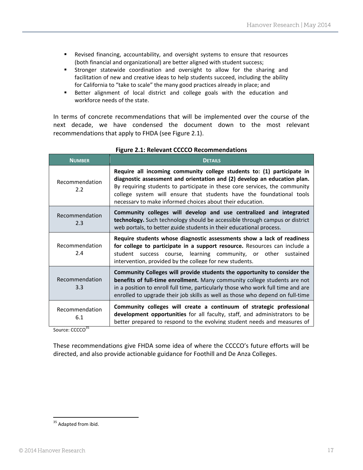- Revised financing, accountability, and oversight systems to ensure that resources (both financial and organizational) are better aligned with student success;
- **EXTERGHT Stronger statewide coordination and oversight to allow for the sharing and** facilitation of new and creative ideas to help students succeed, including the ability for California to "take to scale" the many good practices already in place; and
- Better alignment of local district and college goals with the education and workforce needs of the state.

In terms of concrete recommendations that will be implemented over the course of the next decade, we have condensed the document down to the most relevant recommendations that apply to FHDA (see Figure 2.1).

| <b>NUMBER</b>         | <b>DETAILS</b>                                                                                                                                                                                                                                                                                                                                                        |
|-----------------------|-----------------------------------------------------------------------------------------------------------------------------------------------------------------------------------------------------------------------------------------------------------------------------------------------------------------------------------------------------------------------|
| Recommendation<br>2.2 | Require all incoming community college students to: (1) participate in<br>diagnostic assessment and orientation and (2) develop an education plan.<br>By requiring students to participate in these core services, the community<br>college system will ensure that students have the foundational tools<br>necessary to make informed choices about their education. |
| Recommendation<br>2.3 | Community colleges will develop and use centralized and integrated<br>technology. Such technology should be accessible through campus or district<br>web portals, to better guide students in their educational process.                                                                                                                                              |
| Recommendation<br>2.4 | Require students whose diagnostic assessments show a lack of readiness<br>for college to participate in a support resource. Resources can include a<br>student success course, learning community, or other sustained<br>intervention, provided by the college for new students.                                                                                      |
| Recommendation<br>3.3 | Community Colleges will provide students the opportunity to consider the<br>benefits of full-time enrollment. Many community college students are not<br>in a position to enroll full time, particularly those who work full time and are<br>enrolled to upgrade their job skills as well as those who depend on full-time                                            |
| Recommendation<br>6.1 | Community colleges will create a continuum of strategic professional<br>development opportunities for all faculty, staff, and administrators to be<br>better prepared to respond to the evolving student needs and measures of                                                                                                                                        |

#### **Figure 2.1: Relevant CCCCO Recommendations**

Source: CCCCO<sup>35</sup>

These recommendations give FHDA some idea of where the CCCCO's future efforts will be directed, and also provide actionable guidance for Foothill and De Anza Colleges.

<sup>1</sup> <sup>35</sup> Adapted from ibid.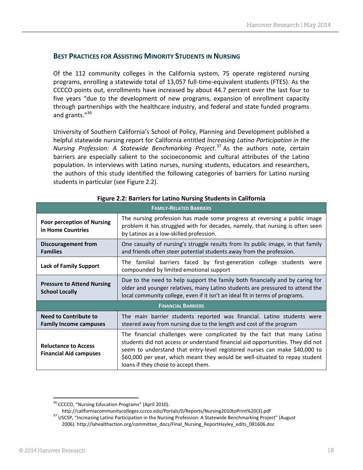# <span id="page-17-0"></span>**BEST PRACTICES FOR ASSISTING MINORITY STUDENTS IN NURSING**

Of the 112 community colleges in the California system, 75 operate registered nursing programs, enrolling a statewide total of 13,057 full-time-equivalent students (FTES). As the CCCCO points out, enrollments have increased by about 44.7 percent over the last four to five years "due to the development of new programs, expansion of enrollment capacity through partnerships with the healthcare industry, and federal and state funded programs and grants."<sup>36</sup>

University of Southern California's School of Policy, Planning and Development published a helpful statewide nursing report for California entitled *Increasing Latino Participation in the Nursing Profession: A Statewide Benchmarking Project*. <sup>37</sup> As the authors note, certain barriers are especially salient to the socioeconomic and cultural attributes of the Latino population. In interviews with Latino nurses, nursing students, educators and researchers, the authors of this study identified the following categories of barriers for Latino nursing students in particular (see Figure 2.2).

| <b>FAMILY-RELATED BARRIERS</b>                                |                                                                                                                                                                                                                                                                                                                                                               |  |  |  |
|---------------------------------------------------------------|---------------------------------------------------------------------------------------------------------------------------------------------------------------------------------------------------------------------------------------------------------------------------------------------------------------------------------------------------------------|--|--|--|
| <b>Poor perception of Nursing</b><br>in Home Countries        | The nursing profession has made some progress at reversing a public image<br>problem it has struggled with for decades, namely, that nursing is often seen<br>by Latinos as a low-skilled profession.                                                                                                                                                         |  |  |  |
| Discouragement from<br><b>Families</b>                        | One casualty of nursing's struggle results from its public image, in that family<br>and friends often steer potential students away from the profession.                                                                                                                                                                                                      |  |  |  |
| <b>Lack of Family Support</b>                                 | The familial barriers faced by first-generation college students were<br>compounded by limited emotional support                                                                                                                                                                                                                                              |  |  |  |
| <b>Pressure to Attend Nursing</b><br><b>School Locally</b>    | Due to the need to help support the family both financially and by caring for<br>older and younger relatives, many Latino students are pressured to attend the<br>local community college, even if it isn't an ideal fit in terms of programs.                                                                                                                |  |  |  |
| <b>FINANCIAL BARRIERS</b>                                     |                                                                                                                                                                                                                                                                                                                                                               |  |  |  |
| <b>Need to Contribute to</b><br><b>Family Income campuses</b> | The main barrier students reported was financial. Latino students were<br>steered away from nursing due to the length and cost of the program                                                                                                                                                                                                                 |  |  |  |
| <b>Reluctance to Access</b><br><b>Financial Aid campuses</b>  | The financial challenges were complicated by the fact that many Latino<br>students did not access or understand financial aid opportunities. They did not<br>seem to understand that entry-level registered nurses can make \$40,000 to<br>\$60,000 per year, which meant they would be well-situated to repay student<br>loans if they chose to accept them. |  |  |  |

#### **Figure 2.2: Barriers for Latino Nursing Students in California**

1

<sup>&</sup>lt;sup>36</sup> CCCCO, "Nursing Education Programs" (April 2010).

[http://californiacommunitycolleges.cccco.edu/Portals/0/Reports/Nursing2010toPrint%20\(3\).pdf](http://californiacommunitycolleges.cccco.edu/Portals/0/Reports/Nursing2010toPrint%20(3).pdf)

<sup>&</sup>lt;sup>37</sup> USCSP, "Increasing Latino Participation in the Nursing Profession: A Statewide Benchmarking Project" (August 2006)[. http://lahealthaction.org/committee\\_docs/Final\\_Nursing\\_ReportHayley\\_edits\\_081606.doc](http://lahealthaction.org/committee_docs/Final_Nursing_ReportHayley_edits_081606.doc)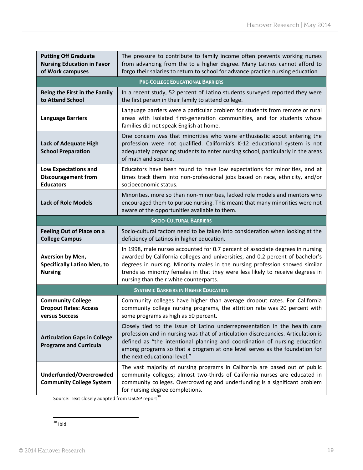| <b>Putting Off Graduate</b><br><b>Nursing Education in Favor</b><br>of Work campuses | The pressure to contribute to family income often prevents working nurses<br>from advancing from the to a higher degree. Many Latinos cannot afford to<br>forgo their salaries to return to school for advance practice nursing education                                                                                                                                   |
|--------------------------------------------------------------------------------------|-----------------------------------------------------------------------------------------------------------------------------------------------------------------------------------------------------------------------------------------------------------------------------------------------------------------------------------------------------------------------------|
|                                                                                      | <b>PRE-COLLEGE EDUCATIONAL BARRIERS</b>                                                                                                                                                                                                                                                                                                                                     |
| Being the First in the Family<br>to Attend School                                    | In a recent study, 52 percent of Latino students surveyed reported they were<br>the first person in their family to attend college.                                                                                                                                                                                                                                         |
| <b>Language Barriers</b>                                                             | Language barriers were a particular problem for students from remote or rural<br>areas with isolated first-generation communities, and for students whose<br>families did not speak English at home.                                                                                                                                                                        |
| <b>Lack of Adequate High</b><br><b>School Preparation</b>                            | One concern was that minorities who were enthusiastic about entering the<br>profession were not qualified. California's K-12 educational system is not<br>adequately preparing students to enter nursing school, particularly in the areas<br>of math and science.                                                                                                          |
| Low Expectations and<br><b>Discouragement from</b><br><b>Educators</b>               | Educators have been found to have low expectations for minorities, and at<br>times track them into non-professional jobs based on race, ethnicity, and/or<br>socioeconomic status.                                                                                                                                                                                          |
| <b>Lack of Role Models</b>                                                           | Minorities, more so than non-minorities, lacked role models and mentors who<br>encouraged them to pursue nursing. This meant that many minorities were not<br>aware of the opportunities available to them.                                                                                                                                                                 |
|                                                                                      | <b>SOCIO-CULTURAL BARRIERS</b>                                                                                                                                                                                                                                                                                                                                              |
| <b>Feeling Out of Place on a</b><br><b>College Campus</b>                            | Socio-cultural factors need to be taken into consideration when looking at the<br>deficiency of Latinos in higher education.                                                                                                                                                                                                                                                |
| Aversion by Men,<br><b>Specifically Latino Men, to</b><br><b>Nursing</b>             | In 1998, male nurses accounted for 0.7 percent of associate degrees in nursing<br>awarded by California colleges and universities, and 0.2 percent of bachelor's<br>degrees in nursing. Minority males in the nursing profession showed similar<br>trends as minority females in that they were less likely to receive degrees in<br>nursing than their white counterparts. |
|                                                                                      | <b>SYSTEMIC BARRIERS IN HIGHER EDUCATION</b>                                                                                                                                                                                                                                                                                                                                |
| <b>Community College</b><br><b>Dropout Rates: Access</b><br>versus Success           | Community colleges have higher than average dropout rates. For California<br>community college nursing programs, the attrition rate was 20 percent with<br>some programs as high as 50 percent.                                                                                                                                                                             |
| <b>Articulation Gaps in College</b><br><b>Programs and Curricula</b>                 | Closely tied to the issue of Latino underrepresentation in the health care<br>profession and in nursing was that of articulation discrepancies. Articulation is<br>defined as "the intentional planning and coordination of nursing education<br>among programs so that a program at one level serves as the foundation for<br>the next educational level."                 |
| Underfunded/Overcrowded<br><b>Community College System</b>                           | The vast majority of nursing programs in California are based out of public<br>community colleges; almost two-thirds of California nurses are educated in<br>community colleges. Overcrowding and underfunding is a significant problem<br>for nursing degree completions.                                                                                                  |

Source: Text closely adapted from USCSP report<sup>3</sup>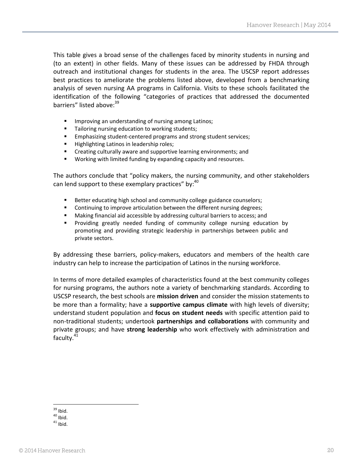This table gives a broad sense of the challenges faced by minority students in nursing and (to an extent) in other fields. Many of these issues can be addressed by FHDA through outreach and institutional changes for students in the area. The USCSP report addresses best practices to ameliorate the problems listed above, developed from a benchmarking analysis of seven nursing AA programs in California. Visits to these schools facilitated the identification of the following "categories of practices that addressed the documented barriers" listed above: 39

- **IMPROVING AN UNDER** Improving an understanding of nursing among Latinos;
- **Tailoring nursing education to working students;**
- **Emphasizing student-centered programs and strong student services;**
- Highlighting Latinos in leadership roles;
- Creating culturally aware and supportive learning environments; and
- **Working with limited funding by expanding capacity and resources.**

The authors conclude that "policy makers, the nursing community, and other stakeholders can lend support to these exemplary practices" by:<sup>40</sup>

- Better educating high school and community college guidance counselors;
- **EXECONTIFY Continuing to improve articulation between the different nursing degrees;**
- Making financial aid accessible by addressing cultural barriers to access; and
- Providing greatly needed funding of community college nursing education by promoting and providing strategic leadership in partnerships between public and private sectors.

By addressing these barriers, policy-makers, educators and members of the health care industry can help to increase the participation of Latinos in the nursing workforce.

In terms of more detailed examples of characteristics found at the best community colleges for nursing programs, the authors note a variety of benchmarking standards. According to USCSP research, the best schools are **mission driven** and consider the mission statements to be more than a formality; have a **supportive campus climate** with high levels of diversity; understand student population and **focus on student needs** with specific attention paid to non-traditional students; undertook **partnerships and collaborations** with community and private groups; and have **strong leadership** who work effectively with administration and faculty. $41$ 

 $\overline{a}$  $39$  Ibid.

 $40$  Ibid.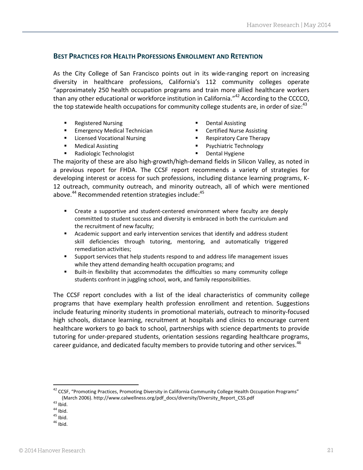# <span id="page-20-0"></span>**BEST PRACTICES FOR HEALTH PROFESSIONS ENROLLMENT AND RETENTION**

As the City College of San Francisco points out in its wide-ranging report on increasing diversity in healthcare professions, California's 112 community colleges operate "approximately 250 health occupation programs and train more allied healthcare workers than any other educational or workforce institution in California."<sup>42</sup> According to the CCCCO, the top statewide health occupations for community college students are, in order of size: $43$ 

- **Registered Nursing**
- **Emergency Medical Technician**
- **Licensed Vocational Nursing**
- **Medical Assisting**
- Radiologic Technologist
- Dental Assisting
- Certified Nurse Assisting
- Respiratory Care Therapy
- Psychiatric Technology
- Dental Hygiene

The majority of these are also high-growth/high-demand fields in Silicon Valley, as noted in a previous report for FHDA. The CCSF report recommends a variety of strategies for developing interest or access for such professions, including distance learning programs, K-12 outreach, community outreach, and minority outreach, all of which were mentioned above.<sup>44</sup> Recommended retention strategies include:<sup>45</sup>

- Create a supportive and student-centered environment where faculty are deeply committed to student success and diversity is embraced in both the curriculum and the recruitment of new faculty;
- Academic support and early intervention services that identify and address student skill deficiencies through tutoring, mentoring, and automatically triggered remediation activities;
- Support services that help students respond to and address life management issues while they attend demanding health occupation programs; and
- Built-in flexibility that accommodates the difficulties so many community college students confront in juggling school, work, and family responsibilities.

The CCSF report concludes with a list of the ideal characteristics of community college programs that have exemplary health profession enrollment and retention. Suggestions include featuring minority students in promotional materials, outreach to minority-focused high schools, distance learning, recruitment at hospitals and clinics to encourage current healthcare workers to go back to school, partnerships with science departments to provide tutoring for under-prepared students, orientation sessions regarding healthcare programs, career guidance, and dedicated faculty members to provide tutoring and other services.<sup>46</sup>

<sup>42</sup> CCSF, "Promoting Practices, Promoting Diversity in California Community College Health Occupation Programs" (March 2006)[. http://www.calwellness.org/pdf\\_docs/diversity/Diversity\\_Report\\_CSS.pdf](http://www.calwellness.org/pdf_docs/diversity/Diversity_Report_CSS.pdf)

 $\overline{a}$ 

 $44$  Ibid.

 $46$  Ibid.

 $43$  Ibid.

 $45$  Ibid.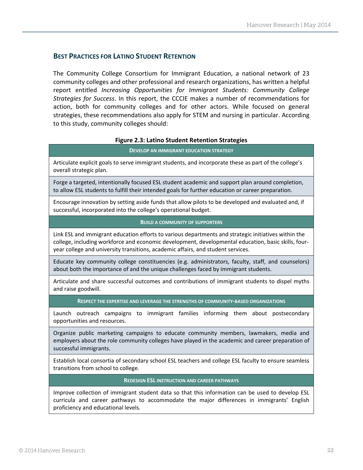### <span id="page-21-0"></span>**BEST PRACTICES FOR LATINO STUDENT RETENTION**

The Community College Consortium for Immigrant Education, a national network of 23 community colleges and other professional and research organizations, has written a helpful report entitled *Increasing Opportunities for Immigrant Students: Community College Strategies for Success*. In this report, the CCCIE makes a number of recommendations for action, both for community colleges and for other actors. While focused on general strategies, these recommendations also apply for STEM and nursing in particular. According to this study, community colleges should:

#### **Figure 2.3: Latino Student Retention Strategies**

#### **DEVELOP AN IMMIGRANT EDUCATION STRATEGY**

Articulate explicit goals to serve immigrant students, and incorporate these as part of the college's overall strategic plan.

Forge a targeted, intentionally focused ESL student academic and support plan around completion, to allow ESL students to fulfill their intended goals for further education or career preparation.

Encourage innovation by setting aside funds that allow pilots to be developed and evaluated and, if successful, incorporated into the college's operational budget.

#### **BUILD A COMMUNITY OF SUPPORTERS**

Link ESL and immigrant education efforts to various departments and strategic initiatives within the college, including workforce and economic development, developmental education, basic skills, fouryear college and university transitions, academic affairs, and student services.

Educate key community college constituencies (e.g. administrators, faculty, staff, and counselors) about both the importance of and the unique challenges faced by immigrant students.

Articulate and share successful outcomes and contributions of immigrant students to dispel myths and raise goodwill.

#### **RESPECT THE EXPERTISE AND LEVERAGE THE STRENGTHS OF COMMUNITY-BASED ORGANIZATIONS**

Launch outreach campaigns to immigrant families informing them about postsecondary opportunities and resources.

Organize public marketing campaigns to educate community members, lawmakers, media and employers about the role community colleges have played in the academic and career preparation of successful immigrants.

Establish local consortia of secondary school ESL teachers and college ESL faculty to ensure seamless transitions from school to college.

#### **REDESIGN ESL INSTRUCTION AND CAREER PATHWAYS**

Improve collection of immigrant student data so that this information can be used to develop ESL curricula and career pathways to accommodate the major differences in immigrants' English proficiency and educational levels.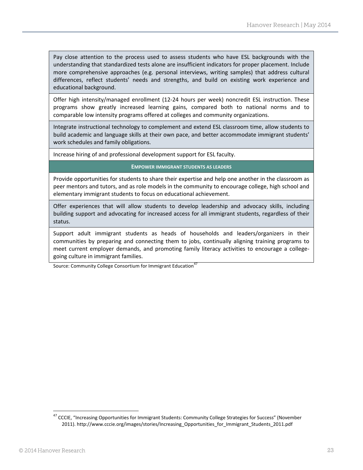Pay close attention to the process used to assess students who have ESL backgrounds with the understanding that standardized tests alone are insufficient indicators for proper placement. Include more comprehensive approaches (e.g. personal interviews, writing samples) that address cultural differences, reflect students' needs and strengths, and build on existing work experience and educational background.

Offer high intensity/managed enrollment (12-24 hours per week) noncredit ESL instruction. These programs show greatly increased learning gains, compared both to national norms and to comparable low intensity programs offered at colleges and community organizations.

Integrate instructional technology to complement and extend ESL classroom time, allow students to build academic and language skills at their own pace, and better accommodate immigrant students' work schedules and family obligations.

Increase hiring of and professional development support for ESL faculty.

#### **EMPOWER IMMIGRANT STUDENTS AS LEADERS**

Provide opportunities for students to share their expertise and help one another in the classroom as peer mentors and tutors, and as role models in the community to encourage college, high school and elementary immigrant students to focus on educational achievement.

Offer experiences that will allow students to develop leadership and advocacy skills, including building support and advocating for increased access for all immigrant students, regardless of their status.

Support adult immigrant students as heads of households and leaders/organizers in their communities by preparing and connecting them to jobs, continually aligning training programs to meet current employer demands, and promoting family literacy activities to encourage a collegegoing culture in immigrant families.

Source: Community College Consortium for Immigrant Education<sup>47</sup>

l <sup>47</sup> CCCIE, "Increasing Opportunities for Immigrant Students: Community College Strategies for Success" (November 2011)[. http://www.cccie.org/images/stories/Increasing\\_Opportunities\\_for\\_Immigrant\\_Students\\_2011.pdf](http://www.cccie.org/images/stories/Increasing_Opportunities_for_Immigrant_Students_2011.pdf)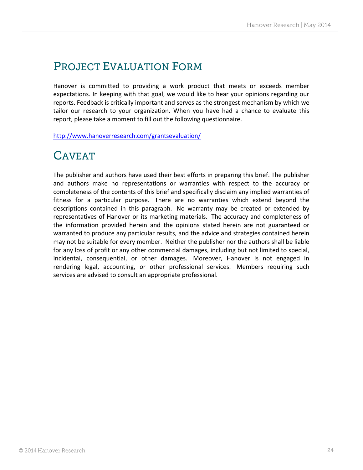# **PROJECT EVALUATION FORM**

Hanover is committed to providing a work product that meets or exceeds member expectations. In keeping with that goal, we would like to hear your opinions regarding our reports. Feedback is critically important and serves as the strongest mechanism by which we tailor our research to your organization. When you have had a chance to evaluate this report, please take a moment to fill out the following questionnaire.

<http://www.hanoverresearch.com/grantsevaluation/>

# **CAVEAT**

The publisher and authors have used their best efforts in preparing this brief. The publisher and authors make no representations or warranties with respect to the accuracy or completeness of the contents of this brief and specifically disclaim any implied warranties of fitness for a particular purpose. There are no warranties which extend beyond the descriptions contained in this paragraph. No warranty may be created or extended by representatives of Hanover or its marketing materials. The accuracy and completeness of the information provided herein and the opinions stated herein are not guaranteed or warranted to produce any particular results, and the advice and strategies contained herein may not be suitable for every member. Neither the publisher nor the authors shall be liable for any loss of profit or any other commercial damages, including but not limited to special, incidental, consequential, or other damages. Moreover, Hanover is not engaged in rendering legal, accounting, or other professional services. Members requiring such services are advised to consult an appropriate professional.